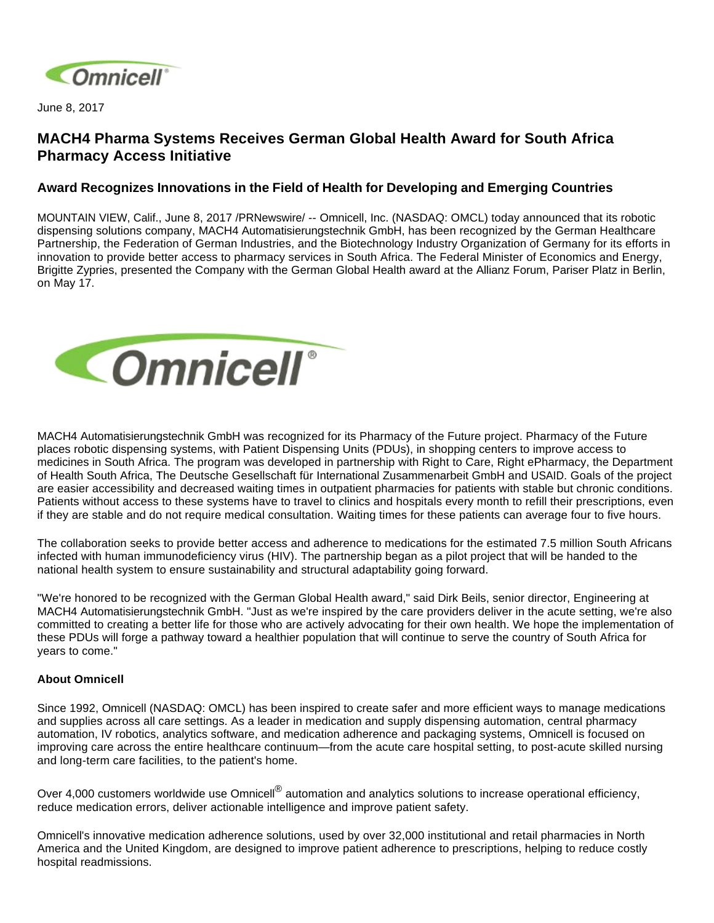

June 8, 2017

## **MACH4 Pharma Systems Receives German Global Health Award for South Africa Pharmacy Access Initiative**

## **Award Recognizes Innovations in the Field of Health for Developing and Emerging Countries**

MOUNTAIN VIEW, Calif., June 8, 2017 /PRNewswire/ -- Omnicell, Inc. (NASDAQ: OMCL) today announced that its robotic dispensing solutions company, MACH4 Automatisierungstechnik GmbH, has been recognized by the German Healthcare Partnership, the Federation of German Industries, and the Biotechnology Industry Organization of Germany for its efforts in innovation to provide better access to pharmacy services in South Africa. The Federal Minister of Economics and Energy, Brigitte Zypries, presented the Company with the German Global Health award at the Allianz Forum, Pariser Platz in Berlin, on May 17.



MACH4 Automatisierungstechnik GmbH was recognized for its Pharmacy of the Future project. Pharmacy of the Future places robotic dispensing systems, with Patient Dispensing Units (PDUs), in shopping centers to improve access to medicines in South Africa. The program was developed in partnership with Right to Care, Right ePharmacy, the Department of Health South Africa, The Deutsche Gesellschaft für International Zusammenarbeit GmbH and USAID. Goals of the project are easier accessibility and decreased waiting times in outpatient pharmacies for patients with stable but chronic conditions. Patients without access to these systems have to travel to clinics and hospitals every month to refill their prescriptions, even if they are stable and do not require medical consultation. Waiting times for these patients can average four to five hours.

The collaboration seeks to provide better access and adherence to medications for the estimated 7.5 million South Africans infected with human immunodeficiency virus (HIV). The partnership began as a pilot project that will be handed to the national health system to ensure sustainability and structural adaptability going forward.

"We're honored to be recognized with the German Global Health award," said Dirk Beils, senior director, Engineering at MACH4 Automatisierungstechnik GmbH. "Just as we're inspired by the care providers deliver in the acute setting, we're also committed to creating a better life for those who are actively advocating for their own health. We hope the implementation of these PDUs will forge a pathway toward a healthier population that will continue to serve the country of South Africa for years to come."

## **About Omnicell**

Since 1992, Omnicell (NASDAQ: OMCL) has been inspired to create safer and more efficient ways to manage medications and supplies across all care settings. As a leader in medication and supply dispensing automation, central pharmacy automation, IV robotics, analytics software, and medication adherence and packaging systems, Omnicell is focused on improving care across the entire healthcare continuum—from the acute care hospital setting, to post-acute skilled nursing and long-term care facilities, to the patient's home.

Over 4,000 customers worldwide use Omnicell<sup>®</sup> automation and analytics solutions to increase operational efficiency, reduce medication errors, deliver actionable intelligence and improve patient safety.

Omnicell's innovative medication adherence solutions, used by over 32,000 institutional and retail pharmacies in North America and the United Kingdom, are designed to improve patient adherence to prescriptions, helping to reduce costly hospital readmissions.